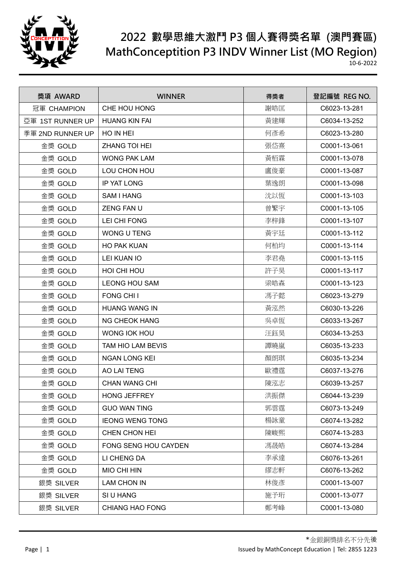

| 獎項 AWARD         | <b>WINNER</b>          | 得獎者 | 登記編號 REG NO. |
|------------------|------------------------|-----|--------------|
| 冠軍 CHAMPION      | CHE HOU HONG           | 謝皓匡 | C6023-13-281 |
| 亞軍 1ST RUNNER UP | <b>HUANG KIN FAI</b>   | 黃建輝 | C6034-13-252 |
| 季軍 2ND RUNNER UP | HO IN HEI              | 何彥希 | C6023-13-280 |
| 金獎 GOLD          | <b>ZHANG TOI HEI</b>   | 張岱熹 | C0001-13-061 |
| 金獎 GOLD          | <b>WONG PAK LAM</b>    | 黃栢霖 | C0001-13-078 |
| 金獎 GOLD          | LOU CHON HOU           | 盧俊豪 | C0001-13-087 |
| 金獎 GOLD          | <b>IP YAT LONG</b>     | 葉逸朗 | C0001-13-098 |
| 金獎 GOLD          | <b>SAM I HANG</b>      | 沈以恆 | C0001-13-103 |
| 金獎 GOLD          | <b>ZENG FAN U</b>      | 曾繁宇 | C0001-13-105 |
| 金獎 GOLD          | LEI CHI FONG           | 李梓鋒 | C0001-13-107 |
| 金獎 GOLD          | WONG U TENG            | 黃宇廷 | C0001-13-112 |
| 金獎 GOLD          | <b>HO PAK KUAN</b>     | 何柏均 | C0001-13-114 |
| 金獎 GOLD          | LEI KUAN IO            | 李君堯 | C0001-13-115 |
| 金獎 GOLD          | HOI CHI HOU            | 許子昊 | C0001-13-117 |
| 金獎 GOLD          | <b>LEONG HOU SAM</b>   | 梁皓森 | C0001-13-123 |
| 金獎 GOLD          | FONG CHI I             | 馮子懿 | C6023-13-279 |
| 金獎 GOLD          | <b>HUANG WANG IN</b>   | 黃泓然 | C6030-13-226 |
| 金獎 GOLD          | <b>NG CHEOK HANG</b>   | 吳卓恆 | C6033-13-267 |
| 金獎 GOLD          | WONG IOK HOU           | 汪鈺昊 | C6034-13-253 |
| 金獎 GOLD          | TAM HIO LAM BEVIS      | 譚曉嵐 | C6035-13-233 |
| 金獎 GOLD          | <b>NGAN LONG KEI</b>   | 顏朗琪 | C6035-13-234 |
| 金獎 GOLD          | AO LAI TENG            | 歐禮霆 | C6037-13-276 |
| 金獎 GOLD          | <b>CHAN WANG CHI</b>   | 陳泓志 | C6039-13-257 |
| 金獎 GOLD          | <b>HONG JEFFREY</b>    | 洪振傑 | C6044-13-239 |
| 金獎 GOLD          | <b>GUO WAN TING</b>    | 郭雲霆 | C6073-13-249 |
| 金獎 GOLD          | <b>IEONG WENG TONG</b> | 楊詠童 | C6074-13-282 |
| 金獎 GOLD          | CHEN CHON HEI          | 陳峻熙 | C6074-13-283 |
| 金獎 GOLD          | FONG SENG HOU CAYDEN   | 馮晟皓 | C6074-13-284 |
| 金獎 GOLD          | LI CHENG DA            | 李承達 | C6076-13-261 |
| 金獎 GOLD          | <b>MIO CHI HIN</b>     | 繆志軒 | C6076-13-262 |
| 銀獎 SILVER        | LAM CHON IN            | 林俊彥 | C0001-13-007 |
| 銀獎 SILVER        | SI U HANG              | 施予珩 | C0001-13-077 |
| 銀獎 SILVER        | <b>CHIANG HAO FONG</b> | 鄭考峰 | C0001-13-080 |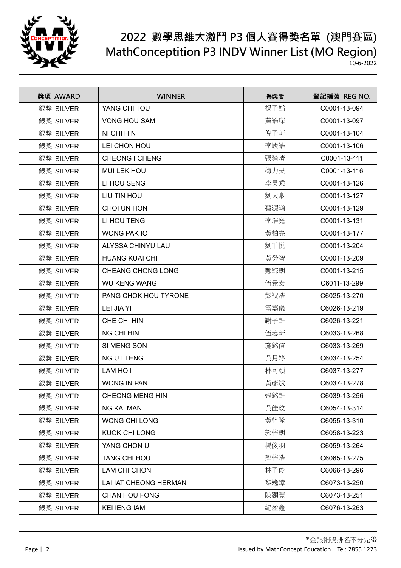

| 獎項 AWARD  | <b>WINNER</b>            | 得獎者 | 登記編號 REG NO. |
|-----------|--------------------------|-----|--------------|
| 銀獎 SILVER | YANG CHI TOU             | 楊子韜 | C0001-13-094 |
| 銀獎 SILVER | <b>VONG HOU SAM</b>      | 黃皓琛 | C0001-13-097 |
| 銀獎 SILVER | NI CHI HIN               | 倪子軒 | C0001-13-104 |
| 銀獎 SILVER | LEI CHON HOU             | 李峻皓 | C0001-13-106 |
| 銀獎 SILVER | <b>CHEONG I CHENG</b>    | 張綺晴 | C0001-13-111 |
| 銀獎 SILVER | <b>MUI LEK HOU</b>       | 梅力昊 | C0001-13-116 |
| 銀獎 SILVER | LI HOU SENG              | 李昊乘 | C0001-13-126 |
| 銀獎 SILVER | LIU TIN HOU              | 劉天豪 | C0001-13-127 |
| 銀獎 SILVER | CHOI UN HON              | 蔡源瀚 | C0001-13-129 |
| 銀獎 SILVER | LI HOU TENG              | 李浩庭 | C0001-13-131 |
| 銀獎 SILVER | <b>WONG PAK IO</b>       | 黃柏堯 | C0001-13-177 |
| 銀獎 SILVER | ALYSSA CHINYU LAU        | 劉千悦 | C0001-13-204 |
| 銀獎 SILVER | <b>HUANG KUAI CHI</b>    | 黃癸智 | C0001-13-209 |
| 銀獎 SILVER | <b>CHEANG CHONG LONG</b> | 鄭錝朗 | C0001-13-215 |
| 銀獎 SILVER | <b>WU KENG WANG</b>      | 伍景宏 | C6011-13-299 |
| 銀獎 SILVER | PANG CHOK HOU TYRONE     | 彭祝浩 | C6025-13-270 |
| 銀獎 SILVER | LEI JIA YI               | 雷嘉儀 | C6026-13-219 |
| 銀獎 SILVER | CHE CHI HIN              | 謝子軒 | C6026-13-221 |
| 銀獎 SILVER | <b>NG CHI HIN</b>        | 伍志軒 | C6033-13-268 |
| 銀獎 SILVER | SI MENG SON              | 施銘信 | C6033-13-269 |
| 銀獎 SILVER | <b>NG UT TENG</b>        | 吳月婷 | C6034-13-254 |
| 銀獎 SILVER | LAM HO I                 | 林可頤 | C6037-13-277 |
| 銀獎 SILVER | WONG IN PAN              | 黃彥斌 | C6037-13-278 |
| 銀獎 SILVER | <b>CHEONG MENG HIN</b>   | 張銘軒 | C6039-13-256 |
| 銀獎 SILVER | <b>NG KAI MAN</b>        | 吳佳玟 | C6054-13-314 |
| 銀獎 SILVER | <b>WONG CHI LONG</b>     | 黃梓隆 | C6055-13-310 |
| 銀獎 SILVER | <b>KUOK CHI LONG</b>     | 郭梓朗 | C6058-13-223 |
| 銀獎 SILVER | YANG CHON U              | 楊俊羽 | C6059-13-264 |
| 銀獎 SILVER | TANG CHI HOU             | 鄧梓浩 | C6065-13-275 |
| 銀獎 SILVER | LAM CHI CHON             | 林子俊 | C6066-13-296 |
| 銀獎 SILVER | LAI IAT CHEONG HERMAN    | 黎逸瞕 | C6073-13-250 |
| 銀獎 SILVER | <b>CHAN HOU FONG</b>     | 陳顥豐 | C6073-13-251 |
| 銀獎 SILVER | <b>KEI IENG IAM</b>      | 紀盈鑫 | C6076-13-263 |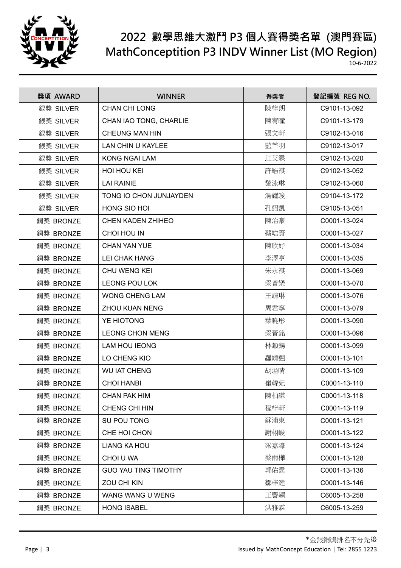

| 獎項 AWARD  | <b>WINNER</b>               | 得獎者 | 登記編號 REG NO. |
|-----------|-----------------------------|-----|--------------|
| 銀獎 SILVER | <b>CHAN CHI LONG</b>        | 陳梓朗 | C9101-13-092 |
| 銀獎 SILVER | CHAN IAO TONG, CHARLIE      | 陳宥曈 | C9101-13-179 |
| 銀獎 SILVER | CHEUNG MAN HIN              | 張文軒 | C9102-13-016 |
| 銀獎 SILVER | LAN CHIN U KAYLEE           | 藍芊羽 | C9102-13-017 |
| 銀獎 SILVER | <b>KONG NGAI LAM</b>        | 江艾霖 | C9102-13-020 |
| 銀獎 SILVER | <b>HOI HOU KEI</b>          | 許皓祺 | C9102-13-052 |
| 銀獎 SILVER | <b>LAI RAINIE</b>           | 黎泳琳 | C9102-13-060 |
| 銀獎 SILVER | TONG IO CHON JUNJAYDEN      | 湯耀竣 | C9104-13-172 |
| 銀獎 SILVER | HONG SIO HOI                | 孔紹凱 | C9105-13-051 |
| 銅獎 BRONZE | <b>CHEN KADEN ZHIHEO</b>    | 陳治豪 | C0001-13-024 |
| 銅獎 BRONZE | CHOI HOU IN                 | 蔡皓賢 | C0001-13-027 |
| 銅獎 BRONZE | <b>CHAN YAN YUE</b>         | 陳欣妤 | C0001-13-034 |
| 銅獎 BRONZE | <b>LEI CHAK HANG</b>        | 李澤亨 | C0001-13-035 |
| 銅獎 BRONZE | CHU WENG KEI                | 朱永祺 | C0001-13-069 |
| 銅獎 BRONZE | <b>LEONG POU LOK</b>        | 梁普樂 | C0001-13-070 |
| 銅獎 BRONZE | <b>WONG CHENG LAM</b>       | 王靖琳 | C0001-13-076 |
| 銅獎 BRONZE | <b>ZHOU KUAN NENG</b>       | 周君寧 | C0001-13-079 |
| 銅獎 BRONZE | YE HIOTONG                  | 葉曉彤 | C0001-13-090 |
| 銅獎 BRONZE | <b>LEONG CHON MENG</b>      | 梁晉銘 | C0001-13-096 |
| 銅獎 BRONZE | <b>LAM HOU IEONG</b>        | 林灝鍚 | C0001-13-099 |
| 銅獎 BRONZE | LO CHENG KIO                | 羅靖翹 | C0001-13-101 |
| 銅獎 BRONZE | <b>WU IAT CHENG</b>         | 胡溢晴 | C0001-13-109 |
| 銅獎 BRONZE | <b>CHOI HANBI</b>           | 崔韓妃 | C0001-13-110 |
| 銅獎 BRONZE | <b>CHAN PAK HIM</b>         | 陳柏謙 | C0001-13-118 |
| 銅獎 BRONZE | CHENG CHI HIN               | 程梓軒 | C0001-13-119 |
| 銅獎 BRONZE | SU POU TONG                 | 蘇浦東 | C0001-13-121 |
| 銅獎 BRONZE | CHE HOI CHON                | 謝栩峻 | C0001-13-122 |
| 銅獎 BRONZE | <b>LIANG KA HOU</b>         | 梁嘉濠 | C0001-13-124 |
| 銅獎 BRONZE | CHOI U WA                   | 蔡雨樺 | C0001-13-128 |
| 銅獎 BRONZE | <b>GUO YAU TING TIMOTHY</b> | 郭佑霆 | C0001-13-136 |
| 銅獎 BRONZE | ZOU CHI KIN                 | 鄒梓湕 | C0001-13-146 |
| 銅獎 BRONZE | WANG WANG U WENG            | 王譽穎 | C6005-13-258 |
| 銅獎 BRONZE | <b>HONG ISABEL</b>          | 洪雅霖 | C6005-13-259 |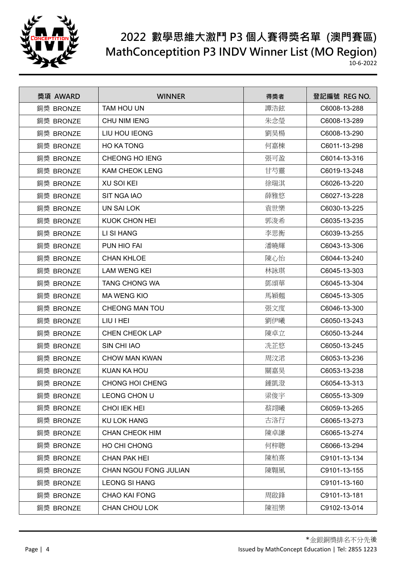

| 獎項 AWARD  | <b>WINNER</b>          | 得獎者 | 登記編號 REG NO. |
|-----------|------------------------|-----|--------------|
| 銅獎 BRONZE | <b>TAM HOU UN</b>      | 譚浩鉉 | C6008-13-288 |
| 銅獎 BRONZE | <b>CHU NIM IENG</b>    | 朱念瑩 | C6008-13-289 |
| 銅獎 BRONZE | LIU HOU IEONG          | 劉昊楊 | C6008-13-290 |
| 銅獎 BRONZE | <b>HO KA TONG</b>      | 何嘉棟 | C6011-13-298 |
| 銅獎 BRONZE | CHEONG HO IENG         | 張可盈 | C6014-13-316 |
| 銅獎 BRONZE | <b>KAM CHEOK LENG</b>  | 甘芍靈 | C6019-13-248 |
| 銅獎 BRONZE | <b>XU SOI KEI</b>      | 徐瑞淇 | C6026-13-220 |
| 銅獎 BRONZE | <b>SIT NGA IAO</b>     | 薛雅悠 | C6027-13-228 |
| 銅獎 BRONZE | <b>UN SAI LOK</b>      | 袁世樂 | C6030-13-225 |
| 銅獎 BRONZE | KUOK CHON HEI          | 郭浚希 | C6035-13-235 |
| 銅獎 BRONZE | LI SI HANG             | 李思衡 | C6039-13-255 |
| 銅獎 BRONZE | PUN HIO FAI            | 潘曉輝 | C6043-13-306 |
| 銅獎 BRONZE | <b>CHAN KHLOE</b>      | 陳心怡 | C6044-13-240 |
| 銅獎 BRONZE | <b>LAM WENG KEI</b>    | 林詠琪 | C6045-13-303 |
| 銅獎 BRONZE | TANG CHONG WA          | 鄧頌華 | C6045-13-304 |
| 銅獎 BRONZE | <b>MA WENG KIO</b>     | 馬穎翹 | C6045-13-305 |
| 銅獎 BRONZE | <b>CHEONG MAN TOU</b>  | 張文度 | C6046-13-300 |
| 銅獎 BRONZE | <b>LIU I HEI</b>       | 劉伊曦 | C6050-13-243 |
| 銅獎 BRONZE | <b>CHEN CHEOK LAP</b>  | 陳卓立 | C6050-13-244 |
| 銅獎 BRONZE | SIN CHI IAO            | 冼芷悠 | C6050-13-245 |
| 銅獎 BRONZE | <b>CHOW MAN KWAN</b>   | 周汶涒 | C6053-13-236 |
| 銅獎 BRONZE | <b>KUAN KA HOU</b>     | 關嘉昊 | C6053-13-238 |
| 銅獎 BRONZE | <b>CHONG HOI CHENG</b> | 鍾凱澄 | C6054-13-313 |
| 銅獎 BRONZE | LEONG CHON U           | 梁俊宇 | C6055-13-309 |
| 銅獎 BRONZE | <b>CHOI IEK HEI</b>    | 蔡翊曦 | C6059-13-265 |
| 銅獎 BRONZE | <b>KU LOK HANG</b>     | 古洛行 | C6065-13-273 |
| 銅獎 BRONZE | <b>CHAN CHEOK HIM</b>  | 陳卓謙 | C6065-13-274 |
| 銅獎 BRONZE | HO CHI CHONG           | 何梓聰 | C6066-13-294 |
| 銅獎 BRONZE | <b>CHAN PAK HEI</b>    | 陳柏熹 | C9101-13-134 |
| 銅獎 BRONZE | CHAN NGOU FONG JULIAN  | 陳翺風 | C9101-13-155 |
| 銅獎 BRONZE | <b>LEONG SI HANG</b>   |     | C9101-13-160 |
| 銅獎 BRONZE | <b>CHAO KAI FONG</b>   | 周啟鋒 | C9101-13-181 |
| 銅獎 BRONZE | CHAN CHOU LOK          | 陳祖樂 | C9102-13-014 |